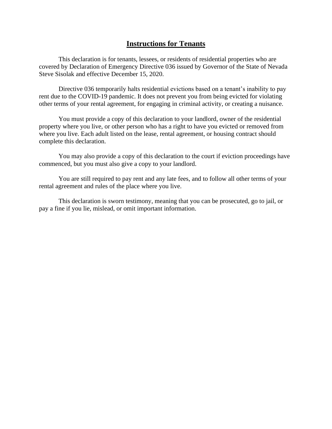## **Instructions for Tenants**

This declaration is for tenants, lessees, or residents of residential properties who are covered by Declaration of Emergency Directive 036 issued by Governor of the State of Nevada Steve Sisolak and effective December 15, 2020.

Directive 036 temporarily halts residential evictions based on a tenant's inability to pay rent due to the COVID-19 pandemic. It does not prevent you from being evicted for violating other terms of your rental agreement, for engaging in criminal activity, or creating a nuisance.

You must provide a copy of this declaration to your landlord, owner of the residential property where you live, or other person who has a right to have you evicted or removed from where you live. Each adult listed on the lease, rental agreement, or housing contract should complete this declaration.

You may also provide a copy of this declaration to the court if eviction proceedings have commenced, but you must also give a copy to your landlord.

You are still required to pay rent and any late fees, and to follow all other terms of your rental agreement and rules of the place where you live.

This declaration is sworn testimony, meaning that you can be prosecuted, go to jail, or pay a fine if you lie, mislead, or omit important information.